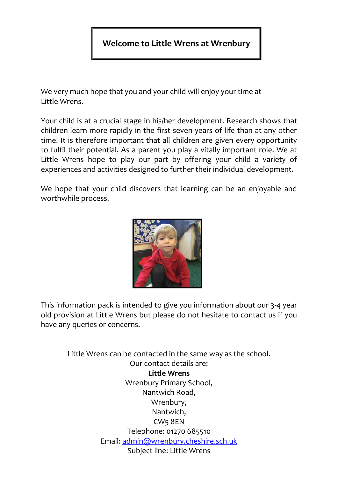# **Welcome to Little Wrens at Wrenbury**

We very much hope that you and your child will enjoy your time at Little Wrens.

Your child is at a crucial stage in his/her development. Research shows that children learn more rapidly in the first seven years of life than at any other time. It is therefore important that all children are given every opportunity to fulfil their potential. As a parent you play a vitally important role. We at Little Wrens hope to play our part by offering your child a variety of experiences and activities designed to further their individual development.

We hope that your child discovers that learning can be an enjoyable and worthwhile process.



This information pack is intended to give you information about our 3-4 year old provision at Little Wrens but please do not hesitate to contact us if you have any queries or concerns.

> Little Wrens can be contacted in the same way as the school. Our contact details are: **Little Wrens** Wrenbury Primary School, Nantwich Road, Wrenbury, Nantwich, CW5 8EN Telephone: 01270 685510 Email: [admin@wrenbury.cheshire.sch.uk](mailto:admin@wrenbury.cheshire.sch.uk) Subject line: Little Wrens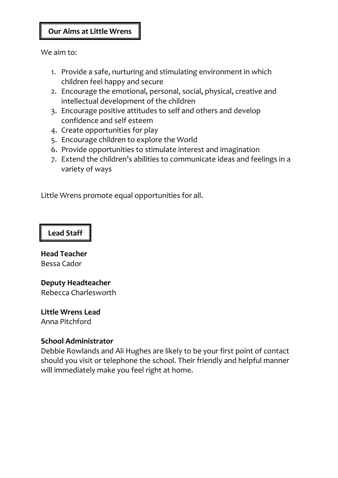#### **Our Aims at Little Wrens**

We aim to:

- 1. Provide a safe, nurturing and stimulating environment in which children feel happy and secure
- 2. Encourage the emotional, personal, social, physical, creative and intellectual development of the children
- 3. Encourage positive attitudes to self and others and develop confidence and self esteem
- 4. Create opportunities for play
- 5. Encourage children to explore the World
- 6. Provide opportunities to stimulate interest and imagination
- 7. Extend the children's abilities to communicate ideas and feelings in a variety of ways

Little Wrens promote equal opportunities for all.

#### **Lead Staff**

**Head Teacher**  Bessa Cador

#### **Deputy Headteacher** Rebecca Charlesworth

**Little Wrens Lead**  Anna Pitchford

#### **School Administrator**

Debbie Rowlands and Ali Hughes are likely to be your first point of contact should you visit or telephone the school. Their friendly and helpful manner will immediately make you feel right at home.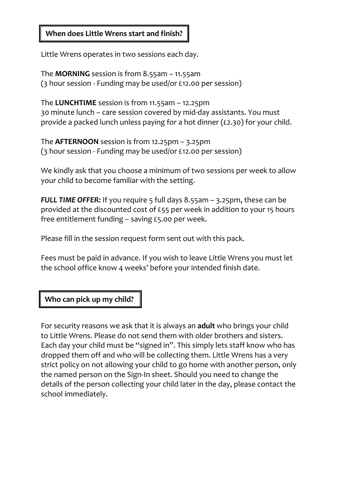#### **When does Little Wrens start and finish?**

Little Wrens operates in two sessions each day.

The **MORNING** session is from 8.55am – 11.55am (3 hour session - Funding may be used/or £12.00 per session)

The **LUNCHTIME** session is from 11.55am – 12.25pm 30 minute lunch – care session covered by mid-day assistants. You must provide a packed lunch unless paying for a hot dinner (£2.30) for your child.

The **AFTERNOON** session is from 12.25pm – 3.25pm (3 hour session - Funding may be used/or £12.00 per session)

We kindly ask that you choose a minimum of two sessions per week to allow your child to become familiar with the setting.

*FULL TIME OFFER:* If you require 5 full days 8.55am – 3.25pm, these can be provided at the discounted cost of £55 per week in addition to your 15 hours free entitlement funding – saving £5.00 per week.

Please fill in the session request form sent out with this pack.

Fees must be paid in advance. If you wish to leave Little Wrens you must let the school office know 4 weeks' before your intended finish date.

# **Who can pick up my child?**

For security reasons we ask that it is always an **adult** who brings your child to Little Wrens. Please do not send them with older brothers and sisters. Each day your child must be "signed in". This simply lets staff know who has dropped them off and who will be collecting them. Little Wrens has a very strict policy on not allowing your child to go home with another person, only the named person on the Sign-In sheet. Should you need to change the details of the person collecting your child later in the day, please contact the school immediately.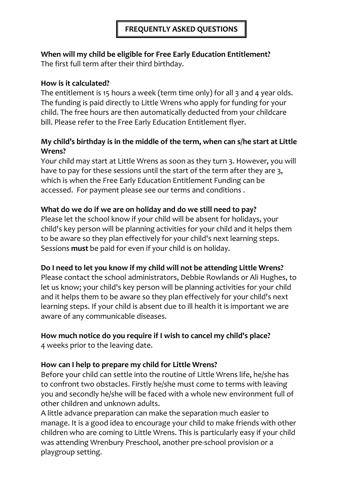# **When will my child be eligible for Free Early Education Entitlement?**

The first full term after their third birthday.

# **How is it calculated?**

The entitlement is 15 hours a week (term time only) for all 3 and 4 year olds. The funding is paid directly to Little Wrens who apply for funding for your child. The free hours are then automatically deducted from your childcare bill. Please refer to the Free Early Education Entitlement flyer.

# **My child's birthday is in the middle of the term, when can s/he start at Little Wrens?**

Your child may start at Little Wrens as soon as they turn 3. However, you will have to pay for these sessions until the start of the term after they are 3, which is when the Free Early Education Entitlement Funding can be accessed. For payment please see our terms and conditions .

# **What do we do if we are on holiday and do we still need to pay?**

Please let the school know if your child will be absent for holidays, your child's key person will be planning activities for your child and it helps them to be aware so they plan effectively for your child's next learning steps. Sessions **must** be paid for even if your child is on holiday.

# **Do I need to let you know if my child will not be attending Little Wrens?**

Please contact the school administrators, Debbie Rowlands or Ali Hughes, to let us know; your child's key person will be planning activities for your child and it helps them to be aware so they plan effectively for your child's next learning steps. If your child is absent due to ill health it is important we are aware of any communicable diseases.

# **How much notice do you require if I wish to cancel my child's place?**

4 weeks prior to the leaving date.

# **How can I help to prepare my child for Little Wrens?**

Before your child can settle into the routine of Little Wrens life, he/she has to confront two obstacles. Firstly he/she must come to terms with leaving you and secondly he/she will be faced with a whole new environment full of other children and unknown adults.

A little advance preparation can make the separation much easier to manage. It is a good idea to encourage your child to make friends with other children who are coming to Little Wrens. This is particularly easy if your child was attending Wrenbury Preschool, another pre-school provision or a playgroup setting.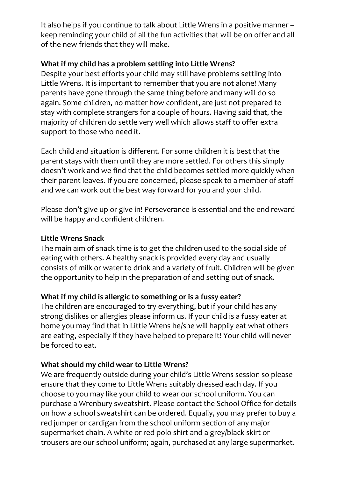It also helps if you continue to talk about Little Wrens in a positive manner – keep reminding your child of all the fun activities that will be on offer and all of the new friends that they will make.

#### **What if my child has a problem settling into Little Wrens?**

Despite your best efforts your child may still have problems settling into Little Wrens. It is important to remember that you are not alone! Many parents have gone through the same thing before and many will do so again. Some children, no matter how confident, are just not prepared to stay with complete strangers for a couple of hours. Having said that, the majority of children do settle very well which allows staff to offer extra support to those who need it.

Each child and situation is different. For some children it is best that the parent stays with them until they are more settled. For others this simply doesn't work and we find that the child becomes settled more quickly when their parent leaves. If you are concerned, please speak to a member of staff and we can work out the best way forward for you and your child.

Please don't give up or give in! Perseverance is essential and the end reward will be happy and confident children.

#### **Little Wrens Snack**

The main aim of snack time is to get the children used to the social side of eating with others. A healthy snack is provided every day and usually consists of milk or water to drink and a variety of fruit. Children will be given the opportunity to help in the preparation of and setting out of snack.

# **What if my child is allergic to something or is a fussy eater?**

The children are encouraged to try everything, but if your child has any strong dislikes or allergies please inform us. If your child is a fussy eater at home you may find that in Little Wrens he/she will happily eat what others are eating, especially if they have helped to prepare it! Your child will never be forced to eat.

#### **What should my child wear to Little Wrens?**

We are frequently outside during your child's Little Wrens session so please ensure that they come to Little Wrens suitably dressed each day. If you choose to you may like your child to wear our school uniform. You can purchase a Wrenbury sweatshirt. Please contact the School Office for details on how a school sweatshirt can be ordered. Equally, you may prefer to buy a red jumper or cardigan from the school uniform section of any major supermarket chain. A white or red polo shirt and a grey/black skirt or trousers are our school uniform; again, purchased at any large supermarket.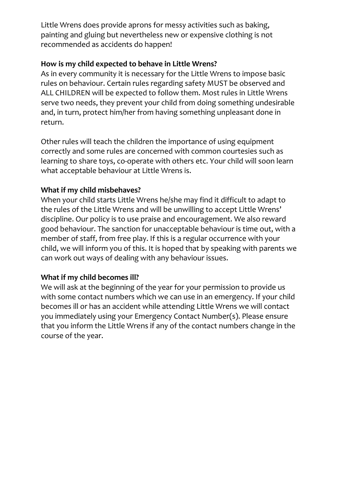Little Wrens does provide aprons for messy activities such as baking, painting and gluing but nevertheless new or expensive clothing is not recommended as accidents do happen!

#### **How is my child expected to behave in Little Wrens?**

As in every community it is necessary for the Little Wrens to impose basic rules on behaviour. Certain rules regarding safety MUST be observed and ALL CHILDREN will be expected to follow them. Most rules in Little Wrens serve two needs, they prevent your child from doing something undesirable and, in turn, protect him/her from having something unpleasant done in return.

Other rules will teach the children the importance of using equipment correctly and some rules are concerned with common courtesies such as learning to share toys, co-operate with others etc. Your child will soon learn what acceptable behaviour at Little Wrens is.

# **What if my child misbehaves?**

When your child starts Little Wrens he/she may find it difficult to adapt to the rules of the Little Wrens and will be unwilling to accept Little Wrens' discipline. Our policy is to use praise and encouragement. We also reward good behaviour. The sanction for unacceptable behaviour is time out, with a member of staff, from free play. If this is a regular occurrence with your child, we will inform you of this. It is hoped that by speaking with parents we can work out ways of dealing with any behaviour issues.

# **What if my child becomes ill?**

We will ask at the beginning of the year for your permission to provide us with some contact numbers which we can use in an emergency. If your child becomes ill or has an accident while attending Little Wrens we will contact you immediately using your Emergency Contact Number(s). Please ensure that you inform the Little Wrens if any of the contact numbers change in the course of the year.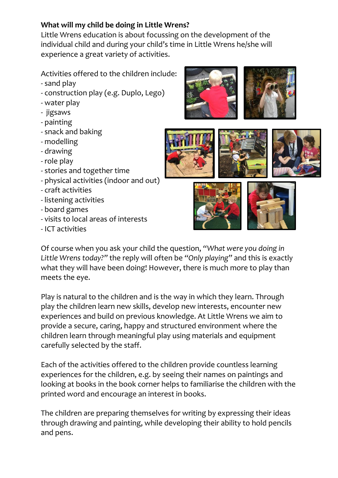# **What will my child be doing in Little Wrens?**

Little Wrens education is about focussing on the development of the individual child and during your child's time in Little Wrens he/she will experience a great variety of activities.

Activities offered to the children include:

- sand play
- construction play (e.g. Duplo, Lego)
- water play
- jigsaws
- painting
- snack and baking
- modelling
- drawing
- role play
- stories and together time
- physical activities (indoor and out)
- craft activities
- listening activities
- board games
- visits to local areas of interests
- ICT activities











Of course when you ask your child the question, *"What were you doing in Little Wrens today?"* the reply will often be *"Only playing"* and this is exactly what they will have been doing! However, there is much more to play than meets the eye.

Play is natural to the children and is the way in which they learn. Through play the children learn new skills, develop new interests, encounter new experiences and build on previous knowledge. At Little Wrens we aim to provide a secure, caring, happy and structured environment where the children learn through meaningful play using materials and equipment carefully selected by the staff.

Each of the activities offered to the children provide countless learning experiences for the children, e.g. by seeing their names on paintings and looking at books in the book corner helps to familiarise the children with the printed word and encourage an interest in books.

The children are preparing themselves for writing by expressing their ideas through drawing and painting, while developing their ability to hold pencils and pens.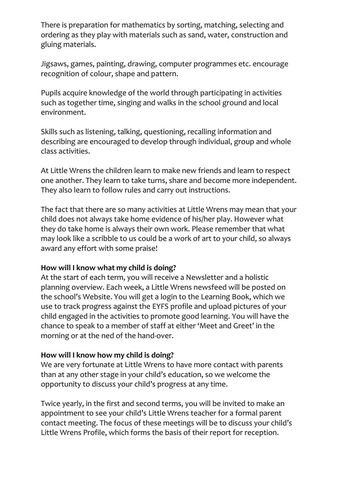There is preparation for mathematics by sorting, matching, selecting and ordering as they play with materials such as sand, water, construction and gluing materials.

Jigsaws, games, painting, drawing, computer programmes etc. encourage recognition of colour, shape and pattern.

Pupils acquire knowledge of the world through participating in activities such as together time, singing and walks in the school ground and local environment.

Skills such as listening, talking, questioning, recalling information and describing are encouraged to develop through individual, group and whole class activities.

At Little Wrens the children learn to make new friends and learn to respect one another. They learn to take turns, share and become more independent. They also learn to follow rules and carry out instructions.

The fact that there are so many activities at Little Wrens may mean that your child does not always take home evidence of his/her play. However what they do take home is always their own work. Please remember that what may look like a scribble to us could be a work of art to your child, so always award any effort with some praise!

#### **How will I know what my child is doing?**

At the start of each term, you will receive a Newsletter and a holistic planning overview. Each week, a Little Wrens newsfeed will be posted on the school's Website. You will get a login to the Learning Book, which we use to track progress against the EYFS profile and upload pictures of your child engaged in the activities to promote good learning. You will have the chance to speak to a member of staff at either 'Meet and Greet' in the morning or at the ned of the hand-over.

# **How will I know how my child is doing?**

We are very fortunate at Little Wrens to have more contact with parents than at any other stage in your child's education, so we welcome the opportunity to discuss your child's progress at any time.

Twice yearly, in the first and second terms, you will be invited to make an appointment to see your child's Little Wrens teacher for a formal parent contact meeting. The focus of these meetings will be to discuss your child's Little Wrens Profile, which forms the basis of their report for reception.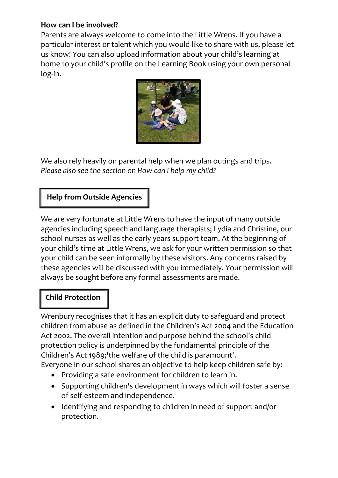#### **How can I be involved?**

Parents are always welcome to come into the Little Wrens. If you have a particular interest or talent which you would like to share with us, please let us know! You can also upload information about your child's learning at home to your child's profile on the Learning Book using your own personal log-in.



We also rely heavily on parental help when we plan outings and trips. *Please also see the section on How can I help my child?* 

# **Help from Outside Agencies**

We are very fortunate at Little Wrens to have the input of many outside agencies including speech and language therapists; Lydia and Christine, our school nurses as well as the early years support team. At the beginning of your child's time at Little Wrens, we ask for your written permission so that your child can be seen informally by these visitors. Any concerns raised by these agencies will be discussed with you immediately. Your permission will always be sought before any formal assessments are made.

# **Child Protection**

Wrenbury recognises that it has an explicit duty to safeguard and protect children from abuse as defined in the Children's Act 2004 and the Education Act 2002. The overall intention and purpose behind the school's child protection policy is underpinned by the fundamental principle of the Children's Act 1989;'the welfare of the child is paramount'. Everyone in our school shares an objective to help keep children safe by:

- Providing a safe environment for children to learn in.
	- Supporting children's development in ways which will foster a sense of self-esteem and independence.
	- Identifying and responding to children in need of support and/or protection.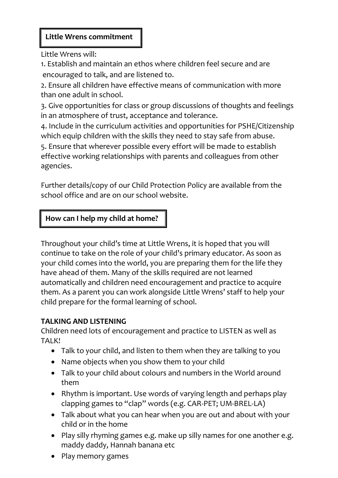Little Wrens will:

1. Establish and maintain an ethos where children feel secure and are encouraged to talk, and are listened to.

2. Ensure all children have effective means of communication with more than one adult in school.

3. Give opportunities for class or group discussions of thoughts and feelings in an atmosphere of trust, acceptance and tolerance.

4. Include in the curriculum activities and opportunities for PSHE/Citizenship which equip children with the skills they need to stay safe from abuse.

5. Ensure that wherever possible every effort will be made to establish effective working relationships with parents and colleagues from other agencies.

Further details/copy of our Child Protection Policy are available from the school office and are on our school website.

# **How can I help my child at home?**

Throughout your child's time at Little Wrens, it is hoped that you will continue to take on the role of your child's primary educator. As soon as your child comes into the world, you are preparing them for the life they have ahead of them. Many of the skills required are not learned automatically and children need encouragement and practice to acquire them. As a parent you can work alongside Little Wrens' staff to help your child prepare for the formal learning of school.

#### **TALKING AND LISTENING**

Children need lots of encouragement and practice to LISTEN as well as TAI<sub>K!</sub>

- Talk to your child, and listen to them when they are talking to you
- Name objects when you show them to your child
- Talk to your child about colours and numbers in the World around them
- Rhythm is important. Use words of varying length and perhaps play clapping games to "clap" words (e.g. CAR-PET; UM-BREL-LA)
- Talk about what you can hear when you are out and about with your child or in the home
- Play silly rhyming games e.g. make up silly names for one another e.g. maddy daddy, Hannah banana etc
- Play memory games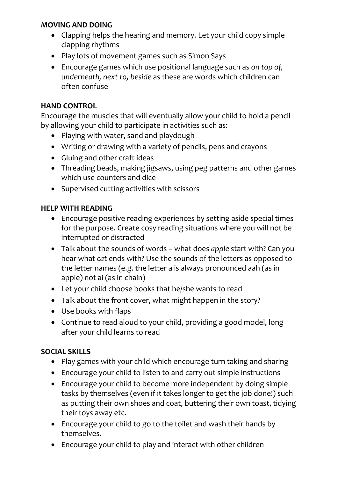#### **MOVING AND DOING**

- Clapping helps the hearing and memory. Let your child copy simple clapping rhythms
- Play lots of movement games such as Simon Says
- Encourage games which use positional language such as *on top of, underneath, next to, beside* as these are words which children can often confuse

#### **HAND CONTROL**

Encourage the muscles that will eventually allow your child to hold a pencil by allowing your child to participate in activities such as:

- Playing with water, sand and playdough
- Writing or drawing with a variety of pencils, pens and crayons
- Gluing and other craft ideas
- Threading beads, making jigsaws, using peg patterns and other games which use counters and dice
- Supervised cutting activities with scissors

#### **HELP WITH READING**

- Encourage positive reading experiences by setting aside special times for the purpose. Create cosy reading situations where you will not be interrupted or distracted
- Talk about the sounds of words what does *apple* start with? Can you hear what *cat* ends with? Use the sounds of the letters as opposed to the letter names (e.g. the letter a is always pronounced aah (as in apple) not ai (as in chain)
- Let your child choose books that he/she wants to read
- Talk about the front cover, what might happen in the story?
- Use books with flaps
- Continue to read aloud to your child, providing a good model, long after your child learns to read

# **SOCIAL SKILLS**

- Play games with your child which encourage turn taking and sharing
- Encourage your child to listen to and carry out simple instructions
- Encourage your child to become more independent by doing simple tasks by themselves (even if it takes longer to get the job done!) such as putting their own shoes and coat, buttering their own toast, tidying their toys away etc.
- Encourage your child to go to the toilet and wash their hands by themselves.
- Encourage your child to play and interact with other children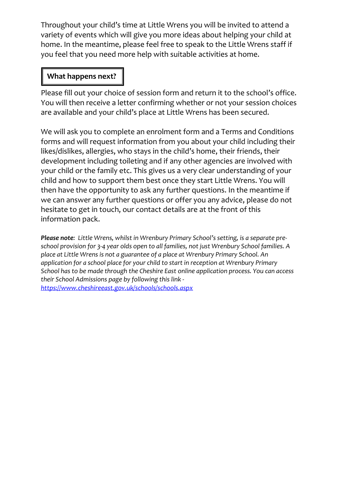Throughout your child's time at Little Wrens you will be invited to attend a variety of events which will give you more ideas about helping your child at home. In the meantime, please feel free to speak to the Little Wrens staff if you feel that you need more help with suitable activities at home.

#### **What happens next?**

Please fill out your choice of session form and return it to the school's office. You will then receive a letter confirming whether or not your session choices are available and your child's place at Little Wrens has been secured.

We will ask you to complete an enrolment form and a Terms and Conditions forms and will request information from you about your child including their likes/dislikes, allergies, who stays in the child's home, their friends, their development including toileting and if any other agencies are involved with your child or the family etc. This gives us a very clear understanding of your child and how to support them best once they start Little Wrens. You will then have the opportunity to ask any further questions. In the meantime if we can answer any further questions or offer you any advice, please do not hesitate to get in touch, our contact details are at the front of this information pack.

*Please note: Little Wrens, whilst in Wrenbury Primary School's setting, is a separate preschool provision for 3-4 year olds open to all families, not just Wrenbury School families. A place at Little Wrens is not a guarantee of a place at Wrenbury Primary School. An application for a school place for your child to start in reception at Wrenbury Primary School has to be made through the Cheshire East online application process. You can access their School Admissions page by following this link <https://www.cheshireeast.gov.uk/schools/schools.aspx>*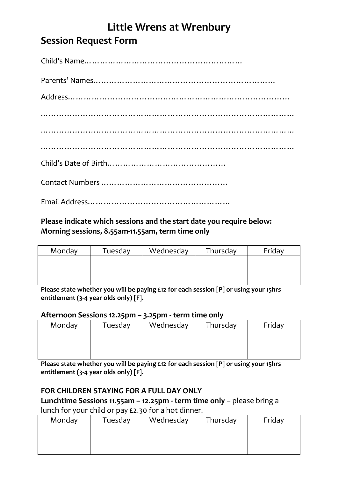# **Little Wrens at Wrenbury Session Request Form**

# **Please indicate which sessions and the start date you require below:**

**Morning sessions, 8.55am-11.55am, term time only**

Email Address………………………………………………

| Monday | Tuesday | Wednesday | Thursday | Friday |
|--------|---------|-----------|----------|--------|
|        |         |           |          |        |
|        |         |           |          |        |
|        |         |           |          |        |

**Please state whether you will be paying £12 for each session [P] or using your 15hrs entitlement (3-4 year olds only) [F].**

#### **Afternoon Sessions 12.25pm – 3.25pm - term time only**

|        | - -     | - - -     |          |        |
|--------|---------|-----------|----------|--------|
| Monday | Tuesday | Wednesday | Thursday | Friday |
|        |         |           |          |        |
|        |         |           |          |        |
|        |         |           |          |        |
|        |         |           |          |        |

**Please state whether you will be paying £12 for each session [P] or using your 15hrs entitlement (3-4 year olds only) [F].**

# **FOR CHILDREN STAYING FOR A FULL DAY ONLY**

**Lunchtime Sessions 11.55am – 12.25pm - term time only** – please bring a lunch for your child or pay £2.30 for a hot dinner.

| Monday | Tuesday | Wednesday | Thursday | Friday |
|--------|---------|-----------|----------|--------|
|        |         |           |          |        |
|        |         |           |          |        |
|        |         |           |          |        |